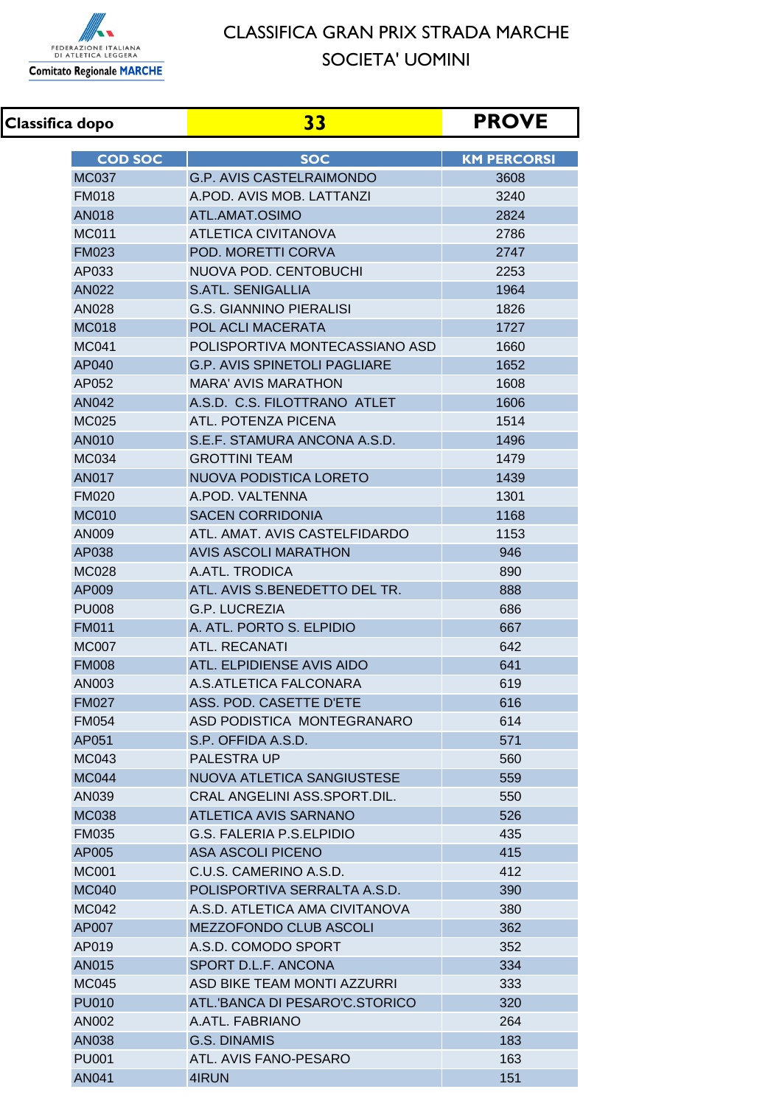

## CLASSIFICA GRAN PRIX STRADA MARCHE SOCIETA' UOMINI

**Classifica dopo 33 PROVE COD SOC SOC SOC SOC SOC SOC** KM PERCORSI MC037 G.P. AVIS CASTELRAIMONDO 3608 FM018 A.POD. AVIS MOB. LATTANZI 3240 AN018 ATL.AMAT.OSIMO 2824 MC011 ATLETICA CIVITANOVA 2786 FM023 POD. MORETTI CORVA 2747 AP033 NUOVA POD. CENTOBUCHI 2253 AN022 S.ATL. SENIGALLIA 1964 AN028 G.S. GIANNINO PIERALISI 1826 MC018 POL ACLI MACERATA **1727** MC041 POLISPORTIVA MONTECASSIANO ASD 1660 AP040 G.P. AVIS SPINETOLI PAGLIARE 1652 AP052 MARA' AVIS MARATHON 1608 AN042 A.S.D. C.S. FILOTTRANO ATLET 1606 MC025 ATL. POTENZA PICENA 1514 AN010 S.E.F. STAMURA ANCONA A.S.D. 1496 MC034 GROTTINI TEAM 1479 AN017 NUOVA PODISTICA LORETO 1439 FM020 A.POD. VALTENNA 1301 MC010 SACEN CORRIDONIA 1168 AN009 ATL. AMAT. AVIS CASTELFIDARDO 1153 AP038 AVIS ASCOLI MARATHON AP038 AP038 MC028 A.ATL. TRODICA 890 AP009 ATL. AVIS S.BENEDETTO DEL TR. 2888 PU008 G.P. LUCREZIA 686 FM011 **A. ATL. PORTO S. ELPIDIO** 667 MC007 ATL RECANATI 642 FM008 ATL. ELPIDIENSE AVIS AIDO 641 AN003 A.S.ATLETICA FALCONARA 619 FM027 ASS. POD. CASETTE D'ETE **ASS.** POD. CASETTE D'ETE FM054 ASD PODISTICA MONTEGRANARO 614 AP051 S.P. OFFIDA A.S.D. 571 MC043 PALESTRA UP 560 MC044 NUOVA ATLETICA SANGIUSTESE 1559 AN039 CRAL ANGELINI ASS.SPORT.DIL. 550 MC038 ATLETICA AVIS SARNANO FM035 G.S. FALERIA P.S.ELPIDIO 435 AP005 ASA ASCOLI PICENO 415 MC001 C.U.S. CAMERINO A.S.D. 412 MC040 POLISPORTIVA SERRALTA A.S.D. 390 MC042 A.S.D. ATLETICA AMA CIVITANOVA 380 AP007 MEZZOFONDO CLUB ASCOLI 2000 1362 AP019 A.S.D. COMODO SPORT 352 AN015 SPORT D.L.F. ANCONA 2008 12:334 MC045 ASD BIKE TEAM MONTI AZZURRI 333 PU010 ATL.'BANCA DI PESARO'C.STORICO 220 AN002 A.ATL. FABRIANO 264 AN038 G.S. DINAMIS 183 PU001 ATL. AVIS FANO-PESARO 163 AN041 4IRUN 151